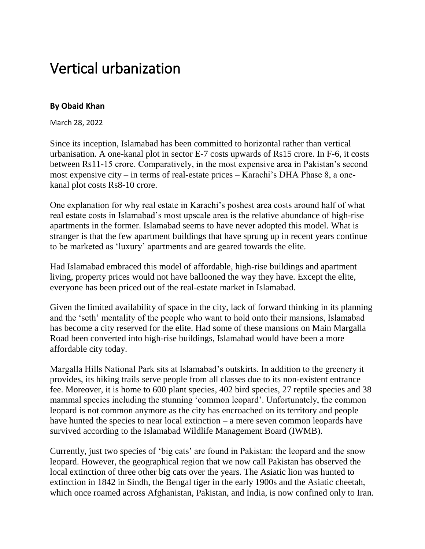## Vertical urbanization

## **By Obaid Khan**

March 28, 2022

Since its inception, Islamabad has been committed to horizontal rather than vertical urbanisation. A one-kanal plot in sector E-7 costs upwards of Rs15 crore. In F-6, it costs between Rs11-15 crore. Comparatively, in the most expensive area in Pakistan's second most expensive city – in terms of real-estate prices – Karachi's DHA Phase 8, a onekanal plot costs Rs8-10 crore.

One explanation for why real estate in Karachi's poshest area costs around half of what real estate costs in Islamabad's most upscale area is the relative abundance of high-rise apartments in the former. Islamabad seems to have never adopted this model. What is stranger is that the few apartment buildings that have sprung up in recent years continue to be marketed as 'luxury' apartments and are geared towards the elite.

Had Islamabad embraced this model of affordable, high-rise buildings and apartment living, property prices would not have ballooned the way they have. Except the elite, everyone has been priced out of the real-estate market in Islamabad.

Given the limited availability of space in the city, lack of forward thinking in its planning and the 'seth' mentality of the people who want to hold onto their mansions, Islamabad has become a city reserved for the elite. Had some of these mansions on Main Margalla Road been converted into high-rise buildings, Islamabad would have been a more affordable city today.

Margalla Hills National Park sits at Islamabad's outskirts. In addition to the greenery it provides, its hiking trails serve people from all classes due to its non-existent entrance fee. Moreover, it is home to 600 plant species, 402 bird species, 27 reptile species and 38 mammal species including the stunning 'common leopard'. Unfortunately, the common leopard is not common anymore as the city has encroached on its territory and people have hunted the species to near local extinction – a mere seven common leopards have survived according to the Islamabad Wildlife Management Board (IWMB).

Currently, just two species of 'big cats' are found in Pakistan: the leopard and the snow leopard. However, the geographical region that we now call Pakistan has observed the local extinction of three other big cats over the years. The Asiatic lion was hunted to extinction in 1842 in Sindh, the Bengal tiger in the early 1900s and the Asiatic cheetah, which once roamed across Afghanistan, Pakistan, and India, is now confined only to Iran.